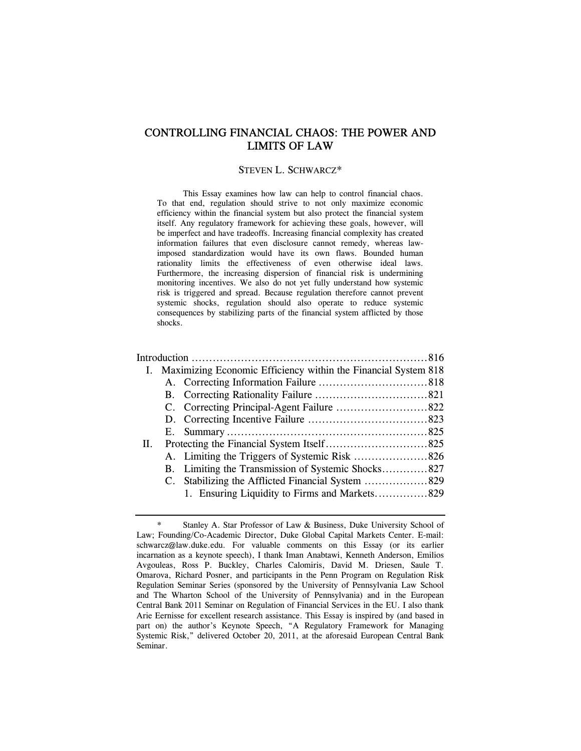# CONTROLLING FINANCIAL CHAOS: THE POWER AND LIMITS OF LAW

#### STEVEN L. SCHWARCZ\*

 This Essay examines how law can help to control financial chaos. To that end, regulation should strive to not only maximize economic efficiency within the financial system but also protect the financial system itself. Any regulatory framework for achieving these goals, however, will be imperfect and have tradeoffs. Increasing financial complexity has created information failures that even disclosure cannot remedy, whereas lawimposed standardization would have its own flaws. Bounded human rationality limits the effectiveness of even otherwise ideal laws. Furthermore, the increasing dispersion of financial risk is undermining monitoring incentives. We also do not yet fully understand how systemic risk is triggered and spread. Because regulation therefore cannot prevent systemic shocks, regulation should also operate to reduce systemic consequences by stabilizing parts of the financial system afflicted by those shocks.

|     | I. Maximizing Economic Efficiency within the Financial System 818 |                                                    |  |
|-----|-------------------------------------------------------------------|----------------------------------------------------|--|
|     |                                                                   |                                                    |  |
|     |                                                                   |                                                    |  |
|     |                                                                   |                                                    |  |
|     |                                                                   |                                                    |  |
|     | E.                                                                |                                                    |  |
| II. |                                                                   |                                                    |  |
|     |                                                                   |                                                    |  |
|     |                                                                   | B. Limiting the Transmission of Systemic Shocks827 |  |
|     |                                                                   |                                                    |  |
|     |                                                                   |                                                    |  |
|     |                                                                   |                                                    |  |

Stanley A. Star Professor of Law & Business, Duke University School of Law; Founding/Co-Academic Director, Duke Global Capital Markets Center. E-mail: schwarcz@law.duke.edu. For valuable comments on this Essay (or its earlier incarnation as a keynote speech), I thank Iman Anabtawi, Kenneth Anderson, Emilios Avgouleas, Ross P. Buckley, Charles Calomiris, David M. Driesen, Saule T. Omarova, Richard Posner, and participants in the Penn Program on Regulation Risk Regulation Seminar Series (sponsored by the University of Pennsylvania Law School and The Wharton School of the University of Pennsylvania) and in the European Central Bank 2011 Seminar on Regulation of Financial Services in the EU. I also thank Arie Eernisse for excellent research assistance. This Essay is inspired by (and based in part on) the author's Keynote Speech, "A Regulatory Framework for Managing Systemic Risk," delivered October 20, 2011, at the aforesaid European Central Bank Seminar.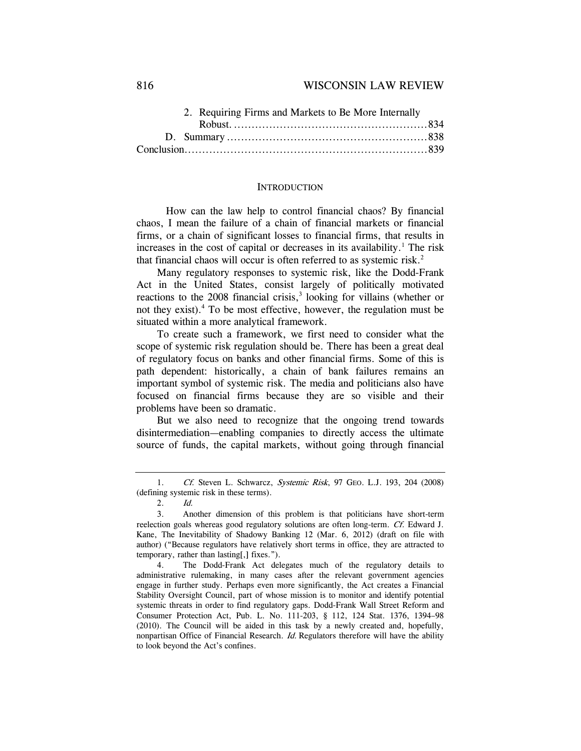|  | 2. Requiring Firms and Markets to Be More Internally |  |  |
|--|------------------------------------------------------|--|--|
|  |                                                      |  |  |
|  |                                                      |  |  |
|  |                                                      |  |  |

#### **INTRODUCTION**

 How can the law help to control financial chaos? By financial chaos, I mean the failure of a chain of financial markets or financial firms, or a chain of significant losses to financial firms, that results in increases in the cost of capital or decreases in its availability.<sup>1</sup> The risk that financial chaos will occur is often referred to as systemic risk.2

Many regulatory responses to systemic risk, like the Dodd-Frank Act in the United States, consist largely of politically motivated reactions to the  $2008$  financial crisis,<sup>3</sup> looking for villains (whether or not they exist).4 To be most effective, however, the regulation must be situated within a more analytical framework.

To create such a framework, we first need to consider what the scope of systemic risk regulation should be. There has been a great deal of regulatory focus on banks and other financial firms. Some of this is path dependent: historically, a chain of bank failures remains an important symbol of systemic risk. The media and politicians also have focused on financial firms because they are so visible and their problems have been so dramatic.

But we also need to recognize that the ongoing trend towards disintermediation—enabling companies to directly access the ultimate source of funds, the capital markets, without going through financial

<sup>1.</sup> Cf. Steven L. Schwarcz, Systemic Risk, 97 GEO. L.J. 193, 204 (2008) (defining systemic risk in these terms).

<sup>2.</sup> Id.

<sup>3.</sup> Another dimension of this problem is that politicians have short-term reelection goals whereas good regulatory solutions are often long-term. Cf. Edward J. Kane, The Inevitability of Shadowy Banking 12 (Mar. 6, 2012) (draft on file with author) ("Because regulators have relatively short terms in office, they are attracted to temporary, rather than lasting[,] fixes.").

 <sup>4.</sup> The Dodd-Frank Act delegates much of the regulatory details to administrative rulemaking, in many cases after the relevant government agencies engage in further study. Perhaps even more significantly, the Act creates a Financial Stability Oversight Council, part of whose mission is to monitor and identify potential systemic threats in order to find regulatory gaps. Dodd-Frank Wall Street Reform and Consumer Protection Act, Pub. L. No. 111-203, § 112, 124 Stat. 1376, 1394–98 (2010). The Council will be aided in this task by a newly created and, hopefully, nonpartisan Office of Financial Research. Id. Regulators therefore will have the ability to look beyond the Act's confines.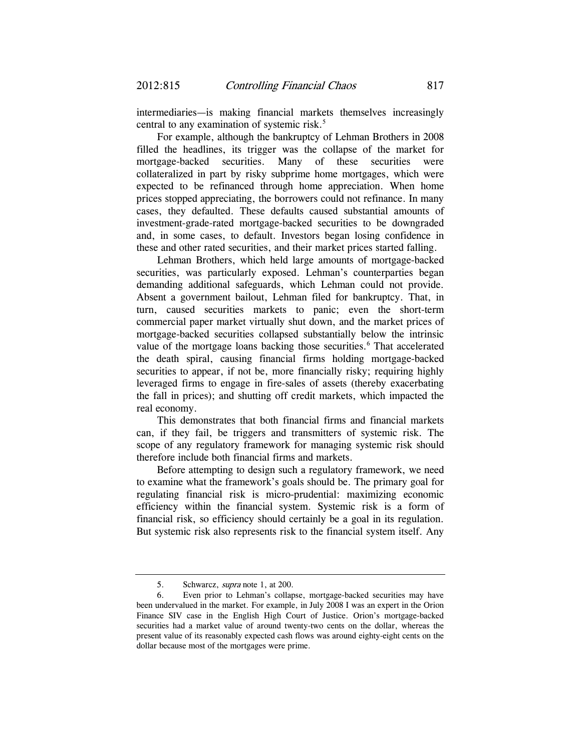intermediaries—is making financial markets themselves increasingly central to any examination of systemic risk.<sup>5</sup>

For example, although the bankruptcy of Lehman Brothers in 2008 filled the headlines, its trigger was the collapse of the market for mortgage-backed securities. Many of these securities were collateralized in part by risky subprime home mortgages, which were expected to be refinanced through home appreciation. When home prices stopped appreciating, the borrowers could not refinance. In many cases, they defaulted. These defaults caused substantial amounts of investment-grade-rated mortgage-backed securities to be downgraded and, in some cases, to default. Investors began losing confidence in these and other rated securities, and their market prices started falling.

Lehman Brothers, which held large amounts of mortgage-backed securities, was particularly exposed. Lehman's counterparties began demanding additional safeguards, which Lehman could not provide. Absent a government bailout, Lehman filed for bankruptcy. That, in turn, caused securities markets to panic; even the short-term commercial paper market virtually shut down, and the market prices of mortgage-backed securities collapsed substantially below the intrinsic value of the mortgage loans backing those securities.<sup>6</sup> That accelerated the death spiral, causing financial firms holding mortgage-backed securities to appear, if not be, more financially risky; requiring highly leveraged firms to engage in fire-sales of assets (thereby exacerbating the fall in prices); and shutting off credit markets, which impacted the real economy.

This demonstrates that both financial firms and financial markets can, if they fail, be triggers and transmitters of systemic risk. The scope of any regulatory framework for managing systemic risk should therefore include both financial firms and markets.

Before attempting to design such a regulatory framework, we need to examine what the framework's goals should be. The primary goal for regulating financial risk is micro-prudential: maximizing economic efficiency within the financial system. Systemic risk is a form of financial risk, so efficiency should certainly be a goal in its regulation. But systemic risk also represents risk to the financial system itself. Any

<sup>5.</sup> Schwarcz, *supra* note 1, at 200.

 <sup>6.</sup> Even prior to Lehman's collapse, mortgage-backed securities may have been undervalued in the market. For example, in July 2008 I was an expert in the Orion Finance SIV case in the English High Court of Justice. Orion's mortgage-backed securities had a market value of around twenty-two cents on the dollar, whereas the present value of its reasonably expected cash flows was around eighty-eight cents on the dollar because most of the mortgages were prime.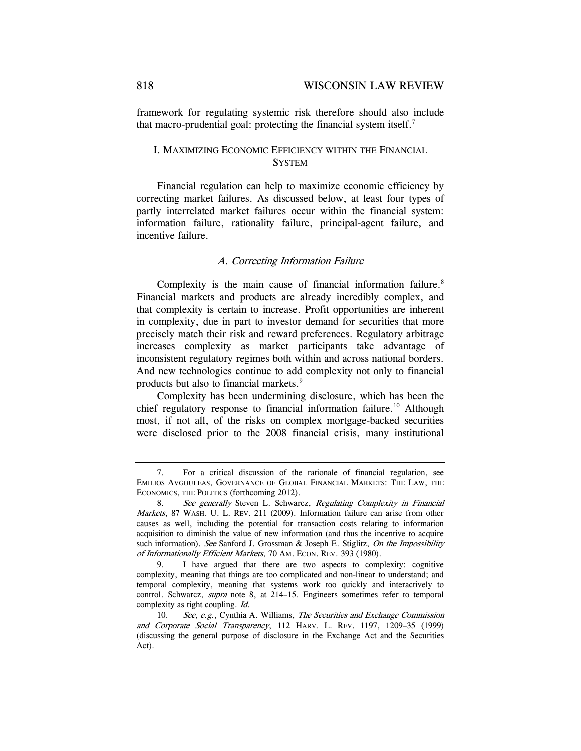framework for regulating systemic risk therefore should also include that macro-prudential goal: protecting the financial system itself.<sup>7</sup>

## I. MAXIMIZING ECONOMIC EFFICIENCY WITHIN THE FINANCIAL **SYSTEM**

Financial regulation can help to maximize economic efficiency by correcting market failures. As discussed below, at least four types of partly interrelated market failures occur within the financial system: information failure, rationality failure, principal-agent failure, and incentive failure.

## A. Correcting Information Failure

Complexity is the main cause of financial information failure.<sup>8</sup> Financial markets and products are already incredibly complex, and that complexity is certain to increase. Profit opportunities are inherent in complexity, due in part to investor demand for securities that more precisely match their risk and reward preferences. Regulatory arbitrage increases complexity as market participants take advantage of inconsistent regulatory regimes both within and across national borders. And new technologies continue to add complexity not only to financial products but also to financial markets.9

Complexity has been undermining disclosure, which has been the chief regulatory response to financial information failure.<sup>10</sup> Although most, if not all, of the risks on complex mortgage-backed securities were disclosed prior to the 2008 financial crisis, many institutional

 <sup>7.</sup> For a critical discussion of the rationale of financial regulation, see EMILIOS AVGOULEAS, GOVERNANCE OF GLOBAL FINANCIAL MARKETS: THE LAW, THE ECONOMICS, THE POLITICS (forthcoming 2012).

<sup>8.</sup> See generally Steven L. Schwarcz, Regulating Complexity in Financial Markets, 87 WASH. U. L. REV. 211 (2009). Information failure can arise from other causes as well, including the potential for transaction costs relating to information acquisition to diminish the value of new information (and thus the incentive to acquire such information). See Sanford J. Grossman & Joseph E. Stiglitz, On the Impossibility of Informationally Efficient Markets, 70 AM. ECON. REV. 393 (1980).

 <sup>9.</sup> I have argued that there are two aspects to complexity: cognitive complexity, meaning that things are too complicated and non-linear to understand; and temporal complexity, meaning that systems work too quickly and interactively to control. Schwarcz, supra note 8, at 214–15. Engineers sometimes refer to temporal complexity as tight coupling. Id.

<sup>10.</sup> See, e.g., Cynthia A. Williams, The Securities and Exchange Commission and Corporate Social Transparency, 112 HARV. L. REV. 1197, 1209–35 (1999) (discussing the general purpose of disclosure in the Exchange Act and the Securities Act).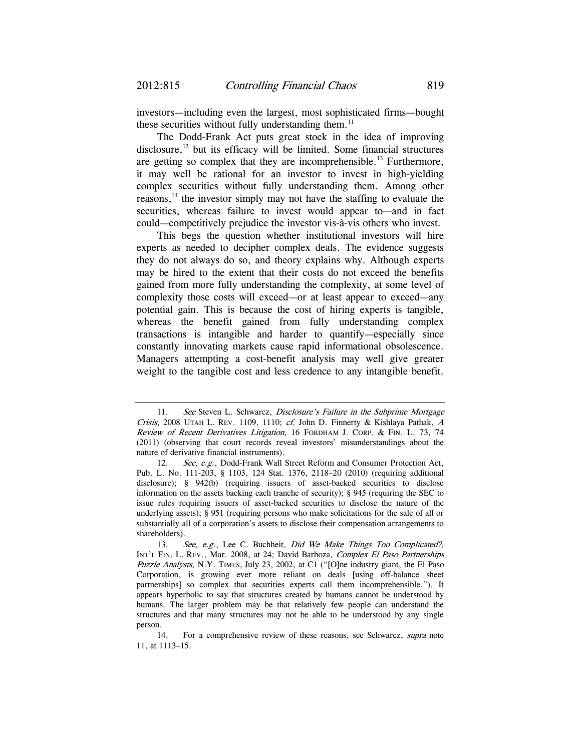investors—including even the largest, most sophisticated firms—bought these securities without fully understanding them. $<sup>11</sup>$ </sup>

The Dodd-Frank Act puts great stock in the idea of improving disclosure, $12$  but its efficacy will be limited. Some financial structures are getting so complex that they are incomprehensible.<sup>13</sup> Furthermore, it may well be rational for an investor to invest in high-yielding complex securities without fully understanding them. Among other reasons,14 the investor simply may not have the staffing to evaluate the securities, whereas failure to invest would appear to—and in fact could—competitively prejudice the investor vis-à-vis others who invest.

This begs the question whether institutional investors will hire experts as needed to decipher complex deals. The evidence suggests they do not always do so, and theory explains why. Although experts may be hired to the extent that their costs do not exceed the benefits gained from more fully understanding the complexity, at some level of complexity those costs will exceed—or at least appear to exceed—any potential gain. This is because the cost of hiring experts is tangible, whereas the benefit gained from fully understanding complex transactions is intangible and harder to quantify—especially since constantly innovating markets cause rapid informational obsolescence. Managers attempting a cost-benefit analysis may well give greater weight to the tangible cost and less credence to any intangible benefit.

<sup>11.</sup> See Steven L. Schwarcz, Disclosure's Failure in the Subprime Mortgage Crisis, 2008 UTAH L. REV. 1109, 1110; cf. John D. Finnerty & Kishlaya Pathak,  $A$ Review of Recent Derivatives Litigation, 16 FORDHAM J. CORP. & FIN. L. 73, 74 (2011) (observing that court records reveal investors' misunderstandings about the nature of derivative financial instruments).

<sup>12.</sup> See, e.g., Dodd-Frank Wall Street Reform and Consumer Protection Act, Pub. L. No. 111-203, § 1103, 124 Stat. 1376, 2118–20 (2010) (requiring additional disclosure); § 942(b) (requiring issuers of asset-backed securities to disclose information on the assets backing each tranche of security); § 945 (requiring the SEC to issue rules requiring issuers of asset-backed securities to disclose the nature of the underlying assets); § 951 (requiring persons who make solicitations for the sale of all or substantially all of a corporation's assets to disclose their compensation arrangements to shareholders).

<sup>13.</sup> See, e.g., Lee C. Buchheit, Did We Make Things Too Complicated?, INT'L FIN. L. REV., Mar. 2008, at 24; David Barboza, Complex El Paso Partnerships Puzzle Analysts, N.Y. TIMES, July 23, 2002, at C1 ("[O]ne industry giant, the El Paso Corporation, is growing ever more reliant on deals [using off-balance sheet partnerships] so complex that securities experts call them incomprehensible."). It appears hyperbolic to say that structures created by humans cannot be understood by humans. The larger problem may be that relatively few people can understand the structures and that many structures may not be able to be understood by any single person.

 <sup>14.</sup> For a comprehensive review of these reasons, see Schwarcz, supra note 11, at 1113–15.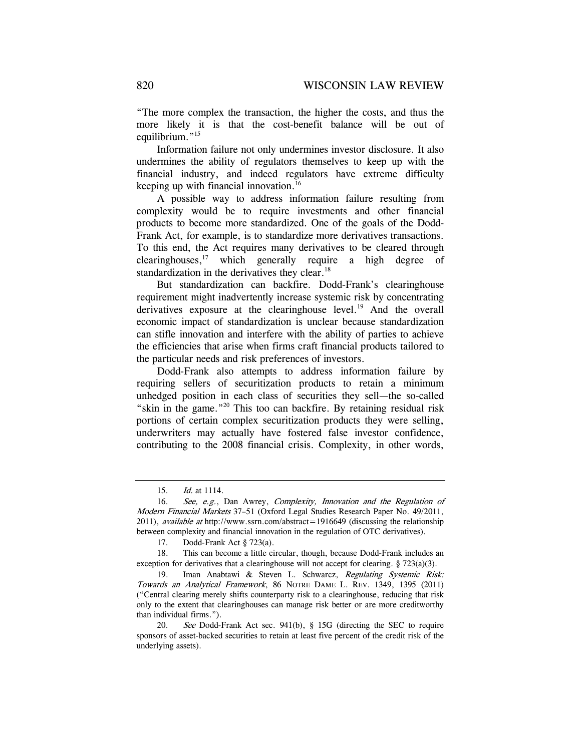"The more complex the transaction, the higher the costs, and thus the more likely it is that the cost-benefit balance will be out of equilibrium."<sup>15</sup>

Information failure not only undermines investor disclosure. It also undermines the ability of regulators themselves to keep up with the financial industry, and indeed regulators have extreme difficulty keeping up with financial innovation. $16$ 

A possible way to address information failure resulting from complexity would be to require investments and other financial products to become more standardized. One of the goals of the Dodd-Frank Act, for example, is to standardize more derivatives transactions. To this end, the Act requires many derivatives to be cleared through clearinghouses, $17$  which generally require a high degree of standardization in the derivatives they clear.<sup>18</sup>

But standardization can backfire. Dodd-Frank's clearinghouse requirement might inadvertently increase systemic risk by concentrating derivatives exposure at the clearinghouse level.<sup>19</sup> And the overall economic impact of standardization is unclear because standardization can stifle innovation and interfere with the ability of parties to achieve the efficiencies that arise when firms craft financial products tailored to the particular needs and risk preferences of investors.

Dodd-Frank also attempts to address information failure by requiring sellers of securitization products to retain a minimum unhedged position in each class of securities they sell—the so-called "skin in the game."20 This too can backfire. By retaining residual risk portions of certain complex securitization products they were selling, underwriters may actually have fostered false investor confidence, contributing to the 2008 financial crisis. Complexity, in other words,

 <sup>15.</sup> Id. at 1114.

<sup>16.</sup> See, e.g., Dan Awrey, Complexity, Innovation and the Regulation of Modern Financial Markets 37–51 (Oxford Legal Studies Research Paper No. 49/2011, 2011), *available at http://www.ssrn.com/abstract=1916649* (discussing the relationship between complexity and financial innovation in the regulation of OTC derivatives).

 <sup>17.</sup> Dodd-Frank Act § 723(a).

 <sup>18.</sup> This can become a little circular, though, because Dodd-Frank includes an exception for derivatives that a clearinghouse will not accept for clearing. § 723(a)(3).

<sup>19.</sup> Iman Anabtawi & Steven L. Schwarcz, Regulating Systemic Risk: Towards an Analytical Framework, 86 NOTRE DAME L. REV. 1349, 1395 (2011) ("Central clearing merely shifts counterparty risk to a clearinghouse, reducing that risk only to the extent that clearinghouses can manage risk better or are more creditworthy than individual firms.").

<sup>20.</sup> See Dodd-Frank Act sec. 941(b), § 15G (directing the SEC to require sponsors of asset-backed securities to retain at least five percent of the credit risk of the underlying assets).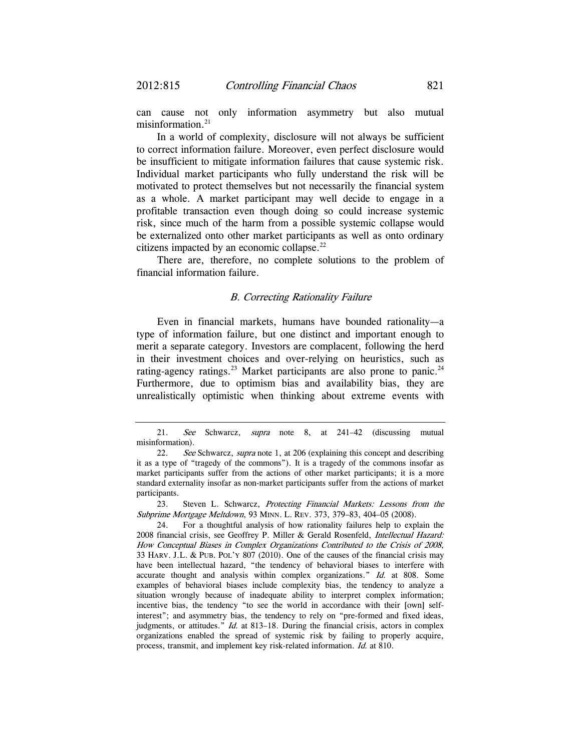can cause not only information asymmetry but also mutual misinformation.<sup>21</sup>

In a world of complexity, disclosure will not always be sufficient to correct information failure. Moreover, even perfect disclosure would be insufficient to mitigate information failures that cause systemic risk. Individual market participants who fully understand the risk will be motivated to protect themselves but not necessarily the financial system as a whole. A market participant may well decide to engage in a profitable transaction even though doing so could increase systemic risk, since much of the harm from a possible systemic collapse would be externalized onto other market participants as well as onto ordinary citizens impacted by an economic collapse.<sup>22</sup>

There are, therefore, no complete solutions to the problem of financial information failure.

### B. Correcting Rationality Failure

Even in financial markets, humans have bounded rationality—a type of information failure, but one distinct and important enough to merit a separate category. Investors are complacent, following the herd in their investment choices and over-relying on heuristics, such as rating-agency ratings.<sup>23</sup> Market participants are also prone to panic.<sup>24</sup> Furthermore, due to optimism bias and availability bias, they are unrealistically optimistic when thinking about extreme events with

 23. Steven L. Schwarcz, Protecting Financial Markets: Lessons from the Subprime Mortgage Meltdown, 93 MINN. L. REV. 373, 379–83, 404–05 (2008).

<sup>21.</sup> See Schwarcz, supra note 8, at 241-42 (discussing mutual misinformation).

<sup>22.</sup> See Schwarcz, supra note 1, at 206 (explaining this concept and describing it as a type of "tragedy of the commons"). It is a tragedy of the commons insofar as market participants suffer from the actions of other market participants; it is a more standard externality insofar as non-market participants suffer from the actions of market participants.

 <sup>24.</sup> For a thoughtful analysis of how rationality failures help to explain the 2008 financial crisis, see Geoffrey P. Miller & Gerald Rosenfeld, Intellectual Hazard: How Conceptual Biases in Complex Organizations Contributed to the Crisis of 2008, 33 HARV. J.L. & PUB. POL'Y 807 (2010). One of the causes of the financial crisis may have been intellectual hazard, "the tendency of behavioral biases to interfere with accurate thought and analysis within complex organizations." Id. at 808. Some examples of behavioral biases include complexity bias, the tendency to analyze a situation wrongly because of inadequate ability to interpret complex information; incentive bias, the tendency "to see the world in accordance with their [own] selfinterest"; and asymmetry bias, the tendency to rely on "pre-formed and fixed ideas, judgments, or attitudes." *Id.* at 813-18. During the financial crisis, actors in complex organizations enabled the spread of systemic risk by failing to properly acquire, process, transmit, and implement key risk-related information. Id. at 810.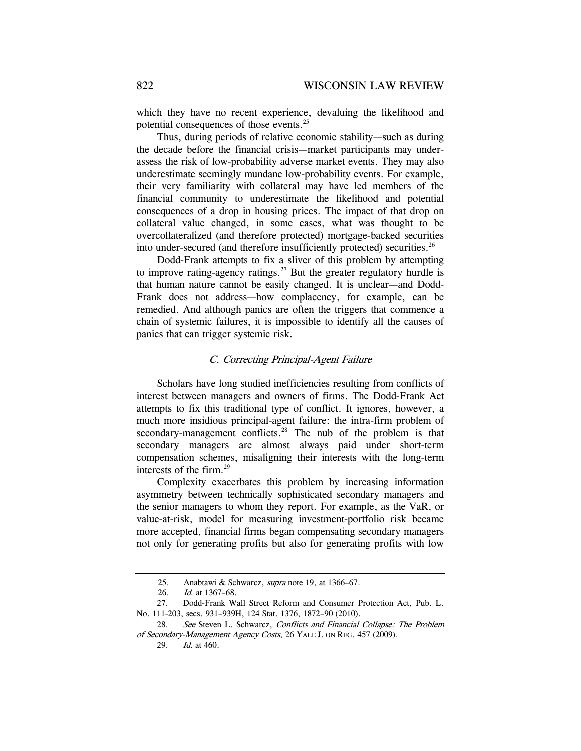which they have no recent experience, devaluing the likelihood and potential consequences of those events.25

Thus, during periods of relative economic stability—such as during the decade before the financial crisis—market participants may underassess the risk of low-probability adverse market events. They may also underestimate seemingly mundane low-probability events. For example, their very familiarity with collateral may have led members of the financial community to underestimate the likelihood and potential consequences of a drop in housing prices. The impact of that drop on collateral value changed, in some cases, what was thought to be overcollateralized (and therefore protected) mortgage-backed securities into under-secured (and therefore insufficiently protected) securities.<sup>26</sup>

Dodd-Frank attempts to fix a sliver of this problem by attempting to improve rating-agency ratings.<sup>27</sup> But the greater regulatory hurdle is that human nature cannot be easily changed. It is unclear—and Dodd-Frank does not address—how complacency, for example, can be remedied. And although panics are often the triggers that commence a chain of systemic failures, it is impossible to identify all the causes of panics that can trigger systemic risk.

## C. Correcting Principal-Agent Failure

Scholars have long studied inefficiencies resulting from conflicts of interest between managers and owners of firms. The Dodd-Frank Act attempts to fix this traditional type of conflict. It ignores, however, a much more insidious principal-agent failure: the intra-firm problem of secondary-management conflicts.<sup>28</sup> The nub of the problem is that secondary managers are almost always paid under short-term compensation schemes, misaligning their interests with the long-term interests of the firm.<sup>29</sup>

Complexity exacerbates this problem by increasing information asymmetry between technically sophisticated secondary managers and the senior managers to whom they report. For example, as the VaR, or value-at-risk, model for measuring investment-portfolio risk became more accepted, financial firms began compensating secondary managers not only for generating profits but also for generating profits with low

<sup>25.</sup> Anabtawi & Schwarcz, *supra* note 19, at 1366-67.

 <sup>26.</sup> Id. at 1367–68.

 <sup>27.</sup> Dodd-Frank Wall Street Reform and Consumer Protection Act, Pub. L. No. 111-203, secs. 931–939H, 124 Stat. 1376, 1872–90 (2010).

<sup>28.</sup> See Steven L. Schwarcz, Conflicts and Financial Collapse: The Problem of Secondary-Management Agency Costs, 26 YALE J. ON REG. 457 (2009).

 <sup>29.</sup> Id. at 460.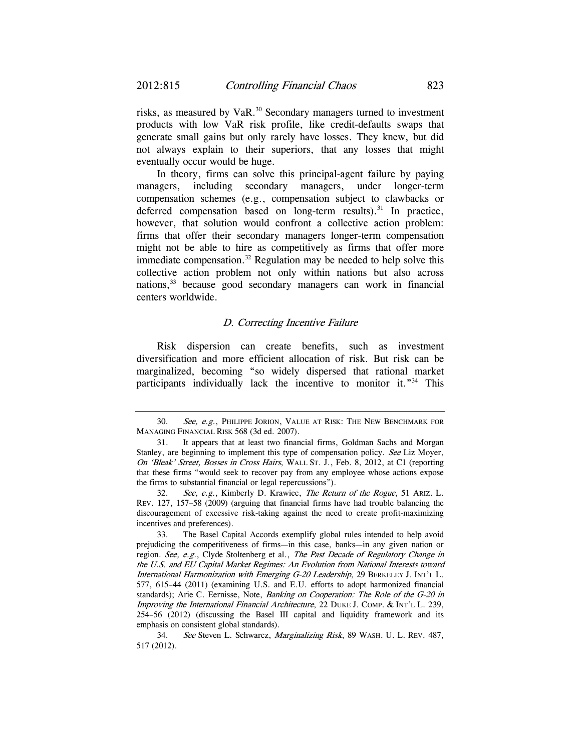risks, as measured by VaR.<sup>30</sup> Secondary managers turned to investment products with low VaR risk profile, like credit-defaults swaps that generate small gains but only rarely have losses. They knew, but did not always explain to their superiors, that any losses that might eventually occur would be huge.

In theory, firms can solve this principal-agent failure by paying managers, including secondary managers, under longer-term compensation schemes (e.g., compensation subject to clawbacks or deferred compensation based on long-term results).<sup>31</sup> In practice, however, that solution would confront a collective action problem: firms that offer their secondary managers longer-term compensation might not be able to hire as competitively as firms that offer more immediate compensation.<sup>32</sup> Regulation may be needed to help solve this collective action problem not only within nations but also across nations,33 because good secondary managers can work in financial centers worldwide.

## D. Correcting Incentive Failure

Risk dispersion can create benefits, such as investment diversification and more efficient allocation of risk. But risk can be marginalized, becoming "so widely dispersed that rational market participants individually lack the incentive to monitor it."34 This

<sup>30.</sup> See, e.g., PHILIPPE JORION, VALUE AT RISK: THE NEW BENCHMARK FOR MANAGING FINANCIAL RISK 568 (3d ed. 2007).

 <sup>31.</sup> It appears that at least two financial firms, Goldman Sachs and Morgan Stanley, are beginning to implement this type of compensation policy. See Liz Moyer, On 'Bleak' Street, Bosses in Cross Hairs, WALL ST. J., Feb. 8, 2012, at C1 (reporting that these firms "would seek to recover pay from any employee whose actions expose the firms to substantial financial or legal repercussions").

<sup>32.</sup> See, e.g., Kimberly D. Krawiec, The Return of the Rogue, 51 ARIZ. L. REV. 127, 157–58 (2009) (arguing that financial firms have had trouble balancing the discouragement of excessive risk-taking against the need to create profit-maximizing incentives and preferences).

 <sup>33.</sup> The Basel Capital Accords exemplify global rules intended to help avoid prejudicing the competitiveness of firms—in this case, banks—in any given nation or region. See, e.g., Clyde Stoltenberg et al., The Past Decade of Regulatory Change in the U.S. and EU Capital Market Regimes: An Evolution from National Interests toward International Harmonization with Emerging G-20 Leadership, 29 BERKELEY J. INT'L L. 577, 615–44 (2011) (examining U.S. and E.U. efforts to adopt harmonized financial standards); Arie C. Eernisse, Note, Banking on Cooperation: The Role of the G-20 in Improving the International Financial Architecture, 22 DUKE J. COMP. & INT'L L. 239, 254–56 (2012) (discussing the Basel III capital and liquidity framework and its emphasis on consistent global standards).

<sup>34.</sup> See Steven L. Schwarcz, Marginalizing Risk, 89 WASH. U. L. REV. 487, 517 (2012).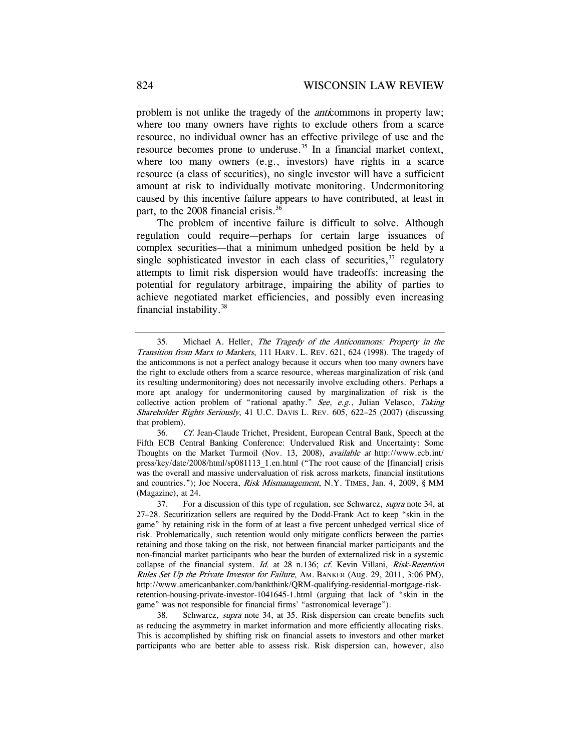problem is not unlike the tragedy of the anticommons in property law; where too many owners have rights to exclude others from a scarce resource, no individual owner has an effective privilege of use and the resource becomes prone to underuse.<sup>35</sup> In a financial market context, where too many owners (e.g., investors) have rights in a scarce resource (a class of securities), no single investor will have a sufficient amount at risk to individually motivate monitoring. Undermonitoring caused by this incentive failure appears to have contributed, at least in part, to the 2008 financial crisis.<sup>36</sup>

The problem of incentive failure is difficult to solve. Although regulation could require—perhaps for certain large issuances of complex securities—that a minimum unhedged position be held by a single sophisticated investor in each class of securities,  $37$  regulatory attempts to limit risk dispersion would have tradeoffs: increasing the potential for regulatory arbitrage, impairing the ability of parties to achieve negotiated market efficiencies, and possibly even increasing financial instability.38

<sup>35.</sup> Michael A. Heller, The Tragedy of the Anticommons: Property in the Transition from Marx to Markets, 111 HARV. L. REV. 621, 624 (1998). The tragedy of the anticommons is not a perfect analogy because it occurs when too many owners have the right to exclude others from a scarce resource, whereas marginalization of risk (and its resulting undermonitoring) does not necessarily involve excluding others. Perhaps a more apt analogy for undermonitoring caused by marginalization of risk is the collective action problem of "rational apathy." See, e.g., Julian Velasco, Taking Shareholder Rights Seriously, 41 U.C. DAVIS L. REV. 605, 622-25 (2007) (discussing that problem).

<sup>36.</sup> Cf. Jean-Claude Trichet, President, European Central Bank, Speech at the Fifth ECB Central Banking Conference: Undervalued Risk and Uncertainty: Some Thoughts on the Market Turmoil (Nov. 13, 2008), available at http://www.ecb.int/ press/key/date/2008/html/sp081113\_1.en.html ("The root cause of the [financial] crisis was the overall and massive undervaluation of risk across markets, financial institutions and countries."); Joe Nocera, *Risk Mismanagement*, N.Y. TIMES, Jan. 4, 2009, § MM (Magazine), at 24.

<sup>37.</sup> For a discussion of this type of regulation, see Schwarcz, *supra* note 34, at 27–28. Securitization sellers are required by the Dodd-Frank Act to keep "skin in the game" by retaining risk in the form of at least a five percent unhedged vertical slice of risk. Problematically, such retention would only mitigate conflicts between the parties retaining and those taking on the risk, not between financial market participants and the non-financial market participants who bear the burden of externalized risk in a systemic collapse of the financial system. Id. at 28 n.136; cf. Kevin Villani, Risk-Retention Rules Set Up the Private Investor for Failure, AM. BANKER (Aug. 29, 2011, 3:06 PM), http://www.americanbanker.com/bankthink/QRM-qualifying-residential-mortgage-riskretention-housing-private-investor-1041645-1.html (arguing that lack of "skin in the game" was not responsible for financial firms' "astronomical leverage").

<sup>38.</sup> Schwarcz, supra note 34, at 35. Risk dispersion can create benefits such as reducing the asymmetry in market information and more efficiently allocating risks. This is accomplished by shifting risk on financial assets to investors and other market participants who are better able to assess risk. Risk dispersion can, however, also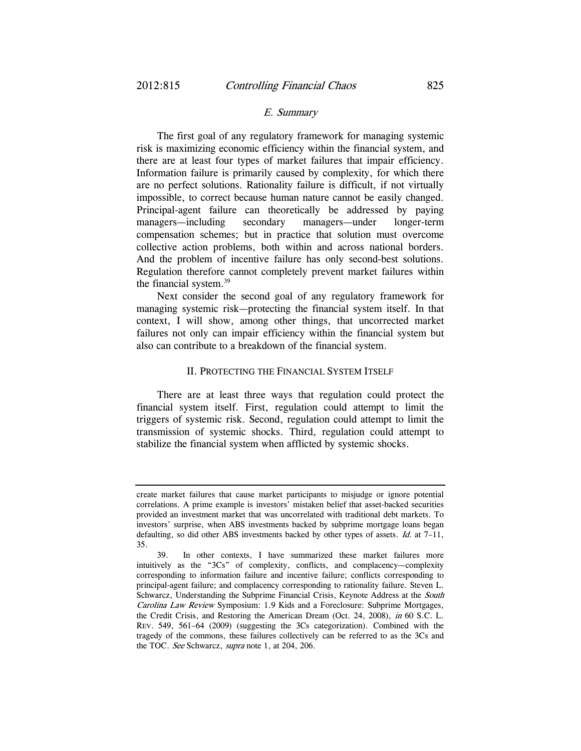### E. Summary

The first goal of any regulatory framework for managing systemic risk is maximizing economic efficiency within the financial system, and there are at least four types of market failures that impair efficiency. Information failure is primarily caused by complexity, for which there are no perfect solutions. Rationality failure is difficult, if not virtually impossible, to correct because human nature cannot be easily changed. Principal-agent failure can theoretically be addressed by paying managers—including secondary managers—under longer-term compensation schemes; but in practice that solution must overcome collective action problems, both within and across national borders. And the problem of incentive failure has only second-best solutions. Regulation therefore cannot completely prevent market failures within the financial system.39

Next consider the second goal of any regulatory framework for managing systemic risk—protecting the financial system itself. In that context, I will show, among other things, that uncorrected market failures not only can impair efficiency within the financial system but also can contribute to a breakdown of the financial system.

## II. PROTECTING THE FINANCIAL SYSTEM ITSELF

There are at least three ways that regulation could protect the financial system itself. First, regulation could attempt to limit the triggers of systemic risk. Second, regulation could attempt to limit the transmission of systemic shocks. Third, regulation could attempt to stabilize the financial system when afflicted by systemic shocks.

create market failures that cause market participants to misjudge or ignore potential correlations. A prime example is investors' mistaken belief that asset-backed securities provided an investment market that was uncorrelated with traditional debt markets. To investors' surprise, when ABS investments backed by subprime mortgage loans began defaulting, so did other ABS investments backed by other types of assets. Id. at 7–11, 35.

 <sup>39.</sup> In other contexts, I have summarized these market failures more intuitively as the "3Cs" of complexity, conflicts, and complacency—complexity corresponding to information failure and incentive failure; conflicts corresponding to principal-agent failure; and complacency corresponding to rationality failure. Steven L. Schwarcz, Understanding the Subprime Financial Crisis, Keynote Address at the South Carolina Law Review Symposium: 1.9 Kids and a Foreclosure: Subprime Mortgages, the Credit Crisis, and Restoring the American Dream (Oct. 24, 2008), in 60 S.C. L. REV. 549, 561–64 (2009) (suggesting the 3Cs categorization). Combined with the tragedy of the commons, these failures collectively can be referred to as the 3Cs and the TOC. See Schwarcz, supra note 1, at 204, 206.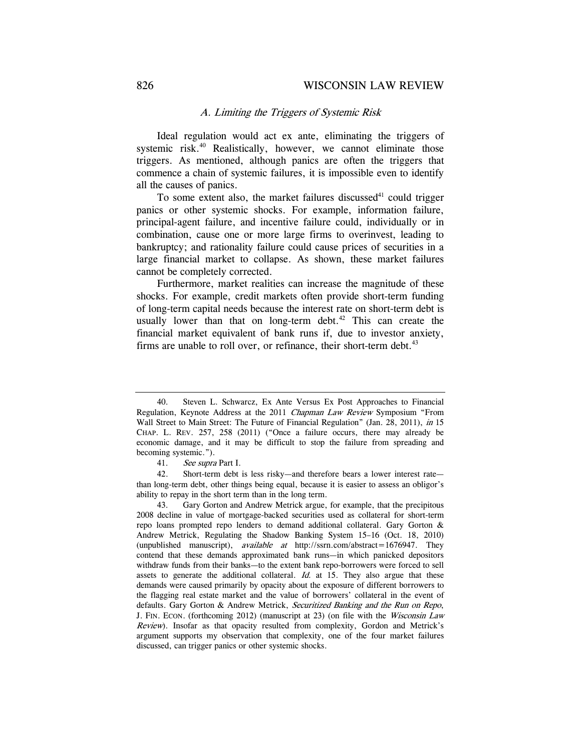## A. Limiting the Triggers of Systemic Risk

Ideal regulation would act ex ante, eliminating the triggers of systemic risk.<sup>40</sup> Realistically, however, we cannot eliminate those triggers. As mentioned, although panics are often the triggers that commence a chain of systemic failures, it is impossible even to identify all the causes of panics.

To some extent also, the market failures discussed<sup>41</sup> could trigger panics or other systemic shocks. For example, information failure, principal-agent failure, and incentive failure could, individually or in combination, cause one or more large firms to overinvest, leading to bankruptcy; and rationality failure could cause prices of securities in a large financial market to collapse. As shown, these market failures cannot be completely corrected.

Furthermore, market realities can increase the magnitude of these shocks. For example, credit markets often provide short-term funding of long-term capital needs because the interest rate on short-term debt is usually lower than that on long-term debt. $42$  This can create the financial market equivalent of bank runs if, due to investor anxiety, firms are unable to roll over, or refinance, their short-term debt.<sup>43</sup>

<sup>40.</sup> Steven L. Schwarcz, Ex Ante Versus Ex Post Approaches to Financial Regulation, Keynote Address at the 2011 Chapman Law Review Symposium "From Wall Street to Main Street: The Future of Financial Regulation" (Jan. 28, 2011), in 15 CHAP. L. REV. 257, 258 (2011) ("Once a failure occurs, there may already be economic damage, and it may be difficult to stop the failure from spreading and becoming systemic.").

<sup>41.</sup> See supra Part I.

 <sup>42.</sup> Short-term debt is less risky—and therefore bears a lower interest rate than long-term debt, other things being equal, because it is easier to assess an obligor's ability to repay in the short term than in the long term.

 <sup>43.</sup> Gary Gorton and Andrew Metrick argue, for example, that the precipitous 2008 decline in value of mortgage-backed securities used as collateral for short-term repo loans prompted repo lenders to demand additional collateral. Gary Gorton & Andrew Metrick, Regulating the Shadow Banking System 15–16 (Oct. 18, 2010) (unpublished manuscript), available at http://ssrn.com/abstract=1676947. They contend that these demands approximated bank runs—in which panicked depositors withdraw funds from their banks—to the extent bank repo-borrowers were forced to sell assets to generate the additional collateral.  $Id$  at 15. They also argue that these demands were caused primarily by opacity about the exposure of different borrowers to the flagging real estate market and the value of borrowers' collateral in the event of defaults. Gary Gorton & Andrew Metrick, Securitized Banking and the Run on Repo, J. FIN. ECON. (forthcoming 2012) (manuscript at 23) (on file with the Wisconsin Law Review). Insofar as that opacity resulted from complexity, Gordon and Metrick's argument supports my observation that complexity, one of the four market failures discussed, can trigger panics or other systemic shocks.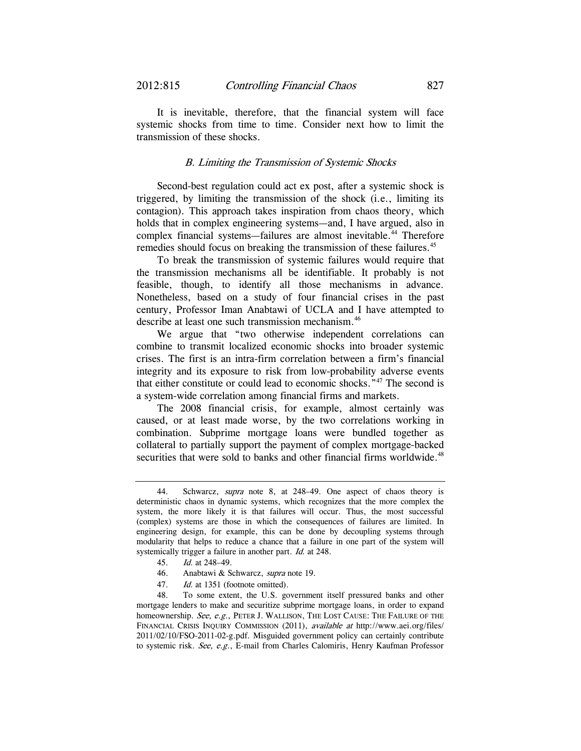transmission of these shocks.

It is inevitable, therefore, that the financial system will face systemic shocks from time to time. Consider next how to limit the

### B. Limiting the Transmission of Systemic Shocks

Second-best regulation could act ex post, after a systemic shock is triggered, by limiting the transmission of the shock (i.e., limiting its contagion). This approach takes inspiration from chaos theory, which holds that in complex engineering systems—and, I have argued, also in complex financial systems—failures are almost inevitable.<sup>44</sup> Therefore remedies should focus on breaking the transmission of these failures.<sup>45</sup>

To break the transmission of systemic failures would require that the transmission mechanisms all be identifiable. It probably is not feasible, though, to identify all those mechanisms in advance. Nonetheless, based on a study of four financial crises in the past century, Professor Iman Anabtawi of UCLA and I have attempted to describe at least one such transmission mechanism.46

We argue that "two otherwise independent correlations can combine to transmit localized economic shocks into broader systemic crises. The first is an intra-firm correlation between a firm's financial integrity and its exposure to risk from low-probability adverse events that either constitute or could lead to economic shocks."47 The second is a system-wide correlation among financial firms and markets.

The 2008 financial crisis, for example, almost certainly was caused, or at least made worse, by the two correlations working in combination. Subprime mortgage loans were bundled together as collateral to partially support the payment of complex mortgage-backed securities that were sold to banks and other financial firms worldwide.<sup>48</sup>

47. Id. at 1351 (footnote omitted).

 48. To some extent, the U.S. government itself pressured banks and other mortgage lenders to make and securitize subprime mortgage loans, in order to expand homeownership. See, e.g., PETER J. WALLISON, THE LOST CAUSE: THE FAILURE OF THE FINANCIAL CRISIS INQUIRY COMMISSION (2011), available at http://www.aei.org/files/ 2011/02/10/FSO-2011-02-g.pdf. Misguided government policy can certainly contribute to systemic risk. See, e.g., E-mail from Charles Calomiris, Henry Kaufman Professor

<sup>44.</sup> Schwarcz, supra note 8, at 248–49. One aspect of chaos theory is deterministic chaos in dynamic systems, which recognizes that the more complex the system, the more likely it is that failures will occur. Thus, the most successful (complex) systems are those in which the consequences of failures are limited. In engineering design, for example, this can be done by decoupling systems through modularity that helps to reduce a chance that a failure in one part of the system will systemically trigger a failure in another part. Id. at 248.

<sup>45.</sup> Id. at 248–49.

 <sup>46.</sup> Anabtawi & Schwarcz, supra note 19.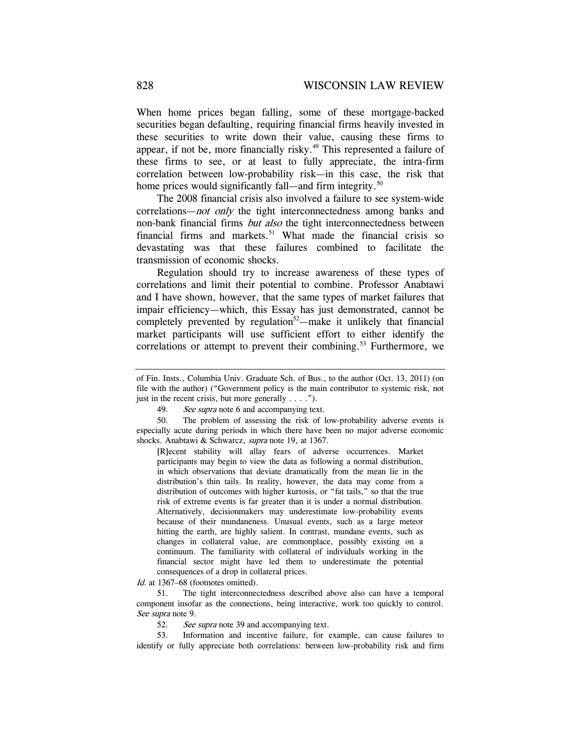When home prices began falling, some of these mortgage-backed securities began defaulting, requiring financial firms heavily invested in these securities to write down their value, causing these firms to appear, if not be, more financially risky.<sup>49</sup> This represented a failure of these firms to see, or at least to fully appreciate, the intra-firm correlation between low-probability risk—in this case, the risk that home prices would significantly fall—and firm integrity.<sup>50</sup>

The 2008 financial crisis also involved a failure to see system-wide correlations—*not only* the tight interconnectedness among banks and non-bank financial firms but also the tight interconnectedness between financial firms and markets.<sup>51</sup> What made the financial crisis so devastating was that these failures combined to facilitate the transmission of economic shocks.

Regulation should try to increase awareness of these types of correlations and limit their potential to combine. Professor Anabtawi and I have shown, however, that the same types of market failures that impair efficiency—which, this Essay has just demonstrated, cannot be completely prevented by regulation<sup>52</sup>—make it unlikely that financial market participants will use sufficient effort to either identify the correlations or attempt to prevent their combining.<sup>53</sup> Furthermore, we

[R]ecent stability will allay fears of adverse occurrences. Market participants may begin to view the data as following a normal distribution, in which observations that deviate dramatically from the mean lie in the distribution's thin tails. In reality, however, the data may come from a distribution of outcomes with higher kurtosis, or "fat tails," so that the true risk of extreme events is far greater than it is under a normal distribution. Alternatively, decisionmakers may underestimate low-probability events because of their mundaneness. Unusual events, such as a large meteor hitting the earth, are highly salient. In contrast, mundane events, such as changes in collateral value, are commonplace, possibly existing on a continuum. The familiarity with collateral of individuals working in the financial sector might have led them to underestimate the potential consequences of a drop in collateral prices.

Id. at 1367–68 (footnotes omitted).

 51. The tight interconnectedness described above also can have a temporal component insofar as the connections, being interactive, work too quickly to control. See supra note 9.

52. See supra note 39 and accompanying text.

 53. Information and incentive failure, for example, can cause failures to identify or fully appreciate both correlations: between low-probability risk and firm

of Fin. Insts., Columbia Univ. Graduate Sch. of Bus., to the author (Oct. 13, 2011) (on file with the author) ("Government policy is the main contributor to systemic risk, not just in the recent crisis, but more generally . . . .").

<sup>49.</sup> See supra note 6 and accompanying text.

 <sup>50.</sup> The problem of assessing the risk of low-probability adverse events is especially acute during periods in which there have been no major adverse economic shocks. Anabtawi & Schwarcz, *supra* note 19, at 1367.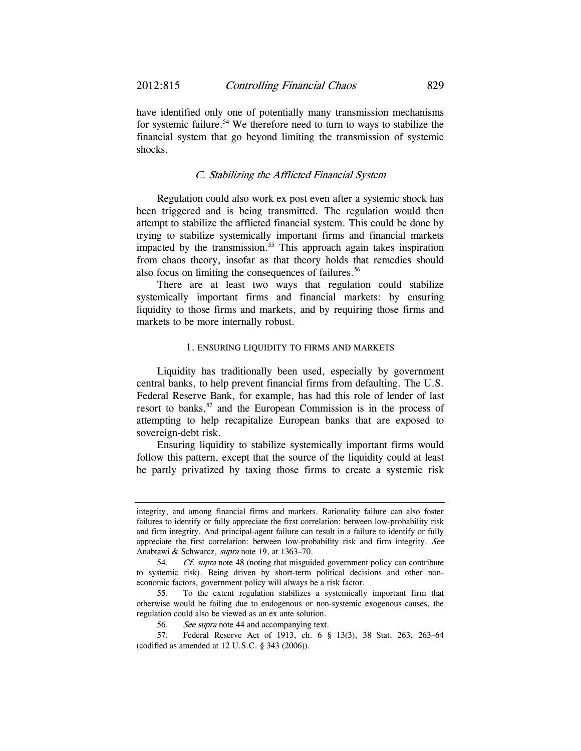have identified only one of potentially many transmission mechanisms for systemic failure.<sup>54</sup> We therefore need to turn to ways to stabilize the financial system that go beyond limiting the transmission of systemic shocks.

### C. Stabilizing the Afflicted Financial System

Regulation could also work ex post even after a systemic shock has been triggered and is being transmitted. The regulation would then attempt to stabilize the afflicted financial system. This could be done by trying to stabilize systemically important firms and financial markets impacted by the transmission.<sup>55</sup> This approach again takes inspiration from chaos theory, insofar as that theory holds that remedies should also focus on limiting the consequences of failures.<sup>56</sup>

There are at least two ways that regulation could stabilize systemically important firms and financial markets: by ensuring liquidity to those firms and markets, and by requiring those firms and markets to be more internally robust.

#### 1. ENSURING LIQUIDITY TO FIRMS AND MARKETS

Liquidity has traditionally been used, especially by government central banks, to help prevent financial firms from defaulting. The U.S. Federal Reserve Bank, for example, has had this role of lender of last resort to banks,<sup>57</sup> and the European Commission is in the process of attempting to help recapitalize European banks that are exposed to sovereign-debt risk.

Ensuring liquidity to stabilize systemically important firms would follow this pattern, except that the source of the liquidity could at least be partly privatized by taxing those firms to create a systemic risk

integrity, and among financial firms and markets. Rationality failure can also foster failures to identify or fully appreciate the first correlation: between low-probability risk and firm integrity. And principal-agent failure can result in a failure to identify or fully appreciate the first correlation: between low-probability risk and firm integrity. See Anabtawi & Schwarcz, supra note 19, at 1363–70.

<sup>54.</sup> Cf. supra note 48 (noting that misguided government policy can contribute to systemic risk). Being driven by short-term political decisions and other noneconomic factors, government policy will always be a risk factor.

 <sup>55.</sup> To the extent regulation stabilizes a systemically important firm that otherwise would be failing due to endogenous or non-systemic exogenous causes, the regulation could also be viewed as an ex ante solution.

<sup>56.</sup> See supra note 44 and accompanying text.

 <sup>57.</sup> Federal Reserve Act of 1913, ch. 6 § 13(3), 38 Stat. 263, 263–64 (codified as amended at 12 U.S.C. § 343 (2006)).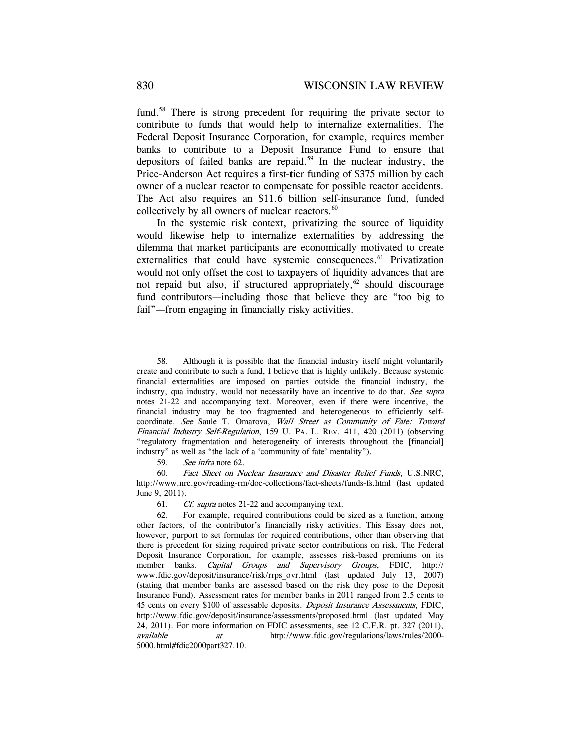fund.<sup>58</sup> There is strong precedent for requiring the private sector to contribute to funds that would help to internalize externalities. The Federal Deposit Insurance Corporation, for example, requires member banks to contribute to a Deposit Insurance Fund to ensure that depositors of failed banks are repaid.<sup>59</sup> In the nuclear industry, the Price-Anderson Act requires a first-tier funding of \$375 million by each owner of a nuclear reactor to compensate for possible reactor accidents. The Act also requires an \$11.6 billion self-insurance fund, funded collectively by all owners of nuclear reactors.<sup>60</sup>

In the systemic risk context, privatizing the source of liquidity would likewise help to internalize externalities by addressing the dilemma that market participants are economically motivated to create externalities that could have systemic consequences.<sup>61</sup> Privatization would not only offset the cost to taxpayers of liquidity advances that are not repaid but also, if structured appropriately,  $62$  should discourage fund contributors—including those that believe they are "too big to fail"—from engaging in financially risky activities.

 <sup>58.</sup> Although it is possible that the financial industry itself might voluntarily create and contribute to such a fund, I believe that is highly unlikely. Because systemic financial externalities are imposed on parties outside the financial industry, the industry, qua industry, would not necessarily have an incentive to do that. See supra notes 21-22 and accompanying text. Moreover, even if there were incentive, the financial industry may be too fragmented and heterogeneous to efficiently selfcoordinate. See Saule T. Omarova, Wall Street as Community of Fate: Toward Financial Industry Self-Regulation, 159 U. PA. L. REV. 411, 420 (2011) (observing "regulatory fragmentation and heterogeneity of interests throughout the [financial] industry" as well as "the lack of a 'community of fate' mentality").

<sup>59.</sup> See infra note 62.

 <sup>60.</sup> Fact Sheet on Nuclear Insurance and Disaster Relief Funds, U.S.NRC, http://www.nrc.gov/reading-rm/doc-collections/fact-sheets/funds-fs.html (last updated June 9, 2011).

<sup>61.</sup> Cf. supra notes 21-22 and accompanying text.

 <sup>62.</sup> For example, required contributions could be sized as a function, among other factors, of the contributor's financially risky activities. This Essay does not, however, purport to set formulas for required contributions, other than observing that there is precedent for sizing required private sector contributions on risk. The Federal Deposit Insurance Corporation, for example, assesses risk-based premiums on its member banks. Capital Groups and Supervisory Groups, FDIC, http:// www.fdic.gov/deposit/insurance/risk/rrps\_ovr.html (last updated July 13, 2007) (stating that member banks are assessed based on the risk they pose to the Deposit Insurance Fund). Assessment rates for member banks in 2011 ranged from 2.5 cents to 45 cents on every \$100 of assessable deposits. Deposit Insurance Assessments, FDIC, http://www.fdic.gov/deposit/insurance/assessments/proposed.html (last updated May 24, 2011). For more information on FDIC assessments, see 12 C.F.R. pt. 327 (2011), available at http://www.fdic.gov/regulations/laws/rules/2000- 5000.html#fdic2000part327.10.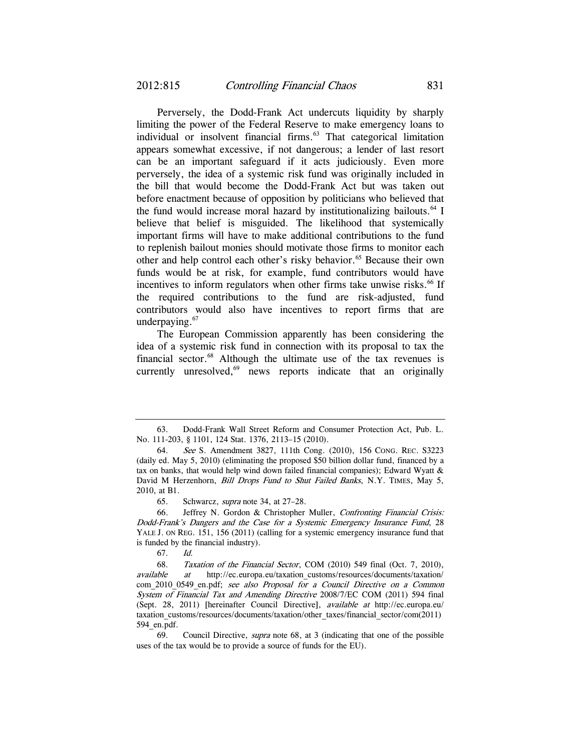Perversely, the Dodd-Frank Act undercuts liquidity by sharply limiting the power of the Federal Reserve to make emergency loans to individual or insolvent financial firms.<sup>63</sup> That categorical limitation appears somewhat excessive, if not dangerous; a lender of last resort can be an important safeguard if it acts judiciously. Even more perversely, the idea of a systemic risk fund was originally included in the bill that would become the Dodd-Frank Act but was taken out before enactment because of opposition by politicians who believed that the fund would increase moral hazard by institutionalizing bailouts.<sup>64</sup> I believe that belief is misguided. The likelihood that systemically important firms will have to make additional contributions to the fund to replenish bailout monies should motivate those firms to monitor each other and help control each other's risky behavior.<sup>65</sup> Because their own funds would be at risk, for example, fund contributors would have incentives to inform regulators when other firms take unwise risks.<sup>66</sup> If the required contributions to the fund are risk-adjusted, fund contributors would also have incentives to report firms that are underpaying.<sup>67</sup>

The European Commission apparently has been considering the idea of a systemic risk fund in connection with its proposal to tax the financial sector.68 Although the ultimate use of the tax revenues is currently unresolved, $69$  news reports indicate that an originally

 <sup>63.</sup> Dodd-Frank Wall Street Reform and Consumer Protection Act, Pub. L. No. 111-203, § 1101, 124 Stat. 1376, 2113–15 (2010).

 <sup>64.</sup> See S. Amendment 3827, 111th Cong. (2010), 156 CONG. REC. S3223 (daily ed. May 5, 2010) (eliminating the proposed \$50 billion dollar fund, financed by a tax on banks, that would help wind down failed financial companies); Edward Wyatt & David M Herzenhorn, Bill Drops Fund to Shut Failed Banks, N.Y. TIMES, May 5, 2010, at B1.

<sup>65.</sup> Schwarcz, supra note 34, at 27–28.

 <sup>66.</sup> Jeffrey N. Gordon & Christopher Muller, Confronting Financial Crisis: Dodd-Frank's Dangers and the Case for a Systemic Emergency Insurance Fund, 28 YALE J. ON REG. 151, 156 (2011) (calling for a systemic emergency insurance fund that is funded by the financial industry).

<sup>67.</sup> Id.

 <sup>68.</sup> Taxation of the Financial Sector, COM (2010) 549 final (Oct. 7, 2010), available at http://ec.europa.eu/taxation\_customs/resources/documents/taxation/ com 2010\_0549\_en.pdf; see also Proposal for a Council Directive on a Common System of Financial Tax and Amending Directive 2008/7/EC COM (2011) 594 final (Sept. 28, 2011) [hereinafter Council Directive], available at http://ec.europa.eu/ taxation\_customs/resources/documents/taxation/other\_taxes/financial\_sector/com(2011) 594\_en.pdf.

<sup>69.</sup> Council Directive, supra note 68, at 3 (indicating that one of the possible uses of the tax would be to provide a source of funds for the EU).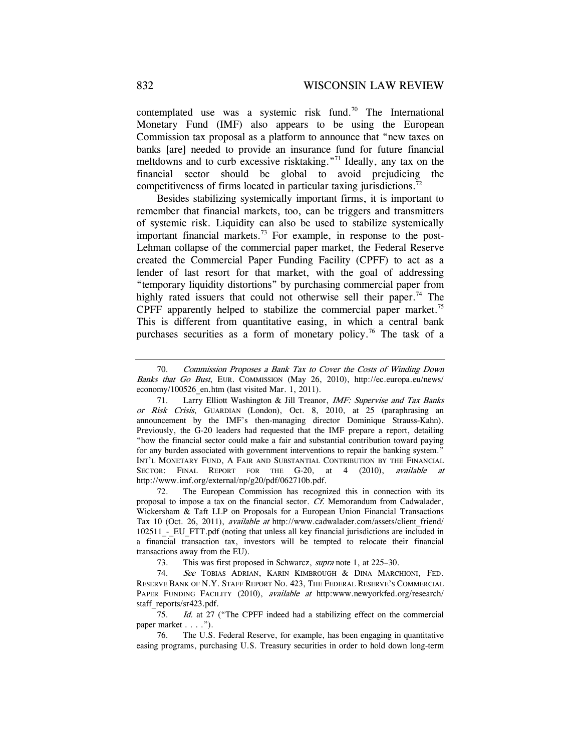contemplated use was a systemic risk fund.<sup>70</sup> The International Monetary Fund (IMF) also appears to be using the European Commission tax proposal as a platform to announce that "new taxes on banks [are] needed to provide an insurance fund for future financial meltdowns and to curb excessive risktaking."71 Ideally, any tax on the financial sector should be global to avoid prejudicing the competitiveness of firms located in particular taxing jurisdictions.<sup>72</sup>

Besides stabilizing systemically important firms, it is important to remember that financial markets, too, can be triggers and transmitters of systemic risk. Liquidity can also be used to stabilize systemically important financial markets.<sup>73</sup> For example, in response to the post-Lehman collapse of the commercial paper market, the Federal Reserve created the Commercial Paper Funding Facility (CPFF) to act as a lender of last resort for that market, with the goal of addressing "temporary liquidity distortions" by purchasing commercial paper from highly rated issuers that could not otherwise sell their paper.<sup>74</sup> The CPFF apparently helped to stabilize the commercial paper market.<sup>75</sup> This is different from quantitative easing, in which a central bank purchases securities as a form of monetary policy.<sup>76</sup> The task of a

 72. The European Commission has recognized this in connection with its proposal to impose a tax on the financial sector. Cf. Memorandum from Cadwalader, Wickersham & Taft LLP on Proposals for a European Union Financial Transactions Tax 10 (Oct. 26, 2011), available at http://www.cadwalader.com/assets/client\_friend/ 102511 - EU\_FTT.pdf (noting that unless all key financial jurisdictions are included in a financial transaction tax, investors will be tempted to relocate their financial transactions away from the EU).

73. This was first proposed in Schwarcz, supra note 1, at 225–30.

74. See TOBIAS ADRIAN, KARIN KIMBROUGH & DINA MARCHIONI, FED. RESERVE BANK OF N.Y. STAFF REPORT NO. 423, THE FEDERAL RESERVE'S COMMERCIAL PAPER FUNDING FACILITY (2010), available at http:www.newyorkfed.org/research/ staff\_reports/sr423.pdf.

75. Id. at 27 ("The CPFF indeed had a stabilizing effect on the commercial paper market . . . .").

 76. The U.S. Federal Reserve, for example, has been engaging in quantitative easing programs, purchasing U.S. Treasury securities in order to hold down long-term

<sup>70.</sup> Commission Proposes a Bank Tax to Cover the Costs of Winding Down Banks that Go Bust, EUR. COMMISSION (May 26, 2010), http://ec.europa.eu/news/ economy/100526 en.htm (last visited Mar. 1, 2011).

<sup>71.</sup> Larry Elliott Washington & Jill Treanor, *IMF: Supervise and Tax Banks* or Risk Crisis, GUARDIAN (London), Oct. 8, 2010, at 25 (paraphrasing an announcement by the IMF's then-managing director Dominique Strauss-Kahn). Previously, the G-20 leaders had requested that the IMF prepare a report, detailing "how the financial sector could make a fair and substantial contribution toward paying for any burden associated with government interventions to repair the banking system." INT'L MONETARY FUND, A FAIR AND SUBSTANTIAL CONTRIBUTION BY THE FINANCIAL SECTOR: FINAL REPORT FOR THE G-20, at 4 (2010), available at http://www.imf.org/external/np/g20/pdf/062710b.pdf.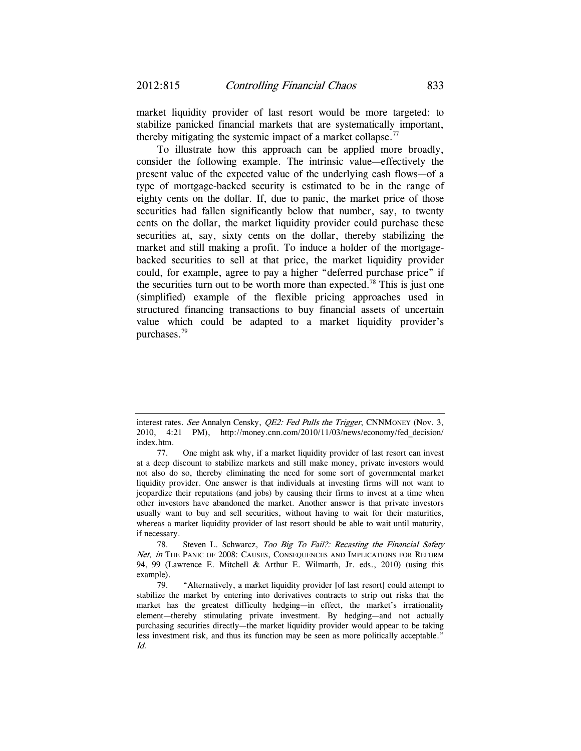market liquidity provider of last resort would be more targeted: to stabilize panicked financial markets that are systematically important, thereby mitigating the systemic impact of a market collapse.<sup>77</sup>

To illustrate how this approach can be applied more broadly, consider the following example. The intrinsic value—effectively the present value of the expected value of the underlying cash flows—of a type of mortgage-backed security is estimated to be in the range of eighty cents on the dollar. If, due to panic, the market price of those securities had fallen significantly below that number, say, to twenty cents on the dollar, the market liquidity provider could purchase these securities at, say, sixty cents on the dollar, thereby stabilizing the market and still making a profit. To induce a holder of the mortgagebacked securities to sell at that price, the market liquidity provider could, for example, agree to pay a higher "deferred purchase price" if the securities turn out to be worth more than expected.<sup>78</sup> This is just one (simplified) example of the flexible pricing approaches used in structured financing transactions to buy financial assets of uncertain value which could be adapted to a market liquidity provider's purchases.79

78. Steven L. Schwarcz, Too Big To Fail?: Recasting the Financial Safety Net, in THE PANIC OF 2008: CAUSES, CONSEQUENCES AND IMPLICATIONS FOR REFORM 94, 99 (Lawrence E. Mitchell & Arthur E. Wilmarth, Jr. eds., 2010) (using this example).

 79. "Alternatively, a market liquidity provider [of last resort] could attempt to stabilize the market by entering into derivatives contracts to strip out risks that the market has the greatest difficulty hedging—in effect, the market's irrationality element—thereby stimulating private investment. By hedging—and not actually purchasing securities directly—the market liquidity provider would appear to be taking less investment risk, and thus its function may be seen as more politically acceptable." Id.

interest rates. See Annalyn Censky, *QE2: Fed Pulls the Trigger*, CNNMONEY (Nov. 3, 2010, 4:21 PM), http://money.cnn.com/2010/11/03/news/economy/fed\_decision/ index.htm.

 <sup>77.</sup> One might ask why, if a market liquidity provider of last resort can invest at a deep discount to stabilize markets and still make money, private investors would not also do so, thereby eliminating the need for some sort of governmental market liquidity provider. One answer is that individuals at investing firms will not want to jeopardize their reputations (and jobs) by causing their firms to invest at a time when other investors have abandoned the market. Another answer is that private investors usually want to buy and sell securities, without having to wait for their maturities, whereas a market liquidity provider of last resort should be able to wait until maturity, if necessary.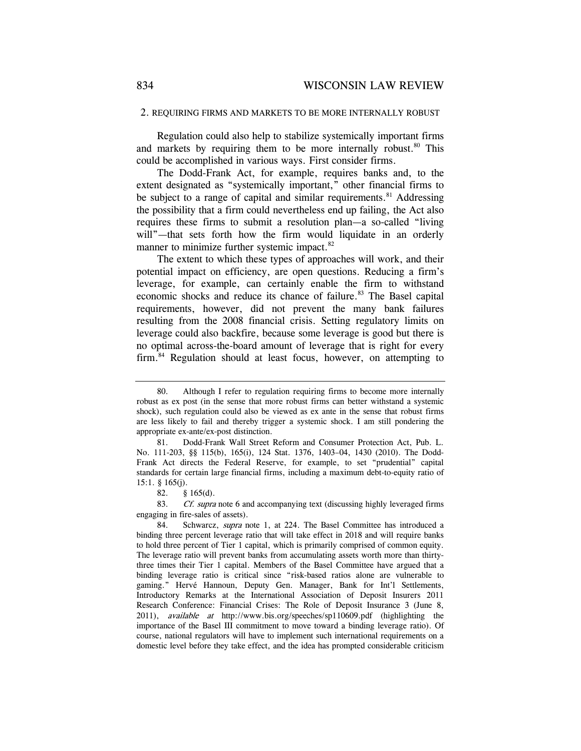#### 2. REQUIRING FIRMS AND MARKETS TO BE MORE INTERNALLY ROBUST

Regulation could also help to stabilize systemically important firms and markets by requiring them to be more internally robust. $80$  This could be accomplished in various ways. First consider firms.

The Dodd-Frank Act, for example, requires banks and, to the extent designated as "systemically important," other financial firms to be subject to a range of capital and similar requirements. $81$  Addressing the possibility that a firm could nevertheless end up failing, the Act also requires these firms to submit a resolution plan—a so-called "living will"—that sets forth how the firm would liquidate in an orderly manner to minimize further systemic impact.<sup>82</sup>

The extent to which these types of approaches will work, and their potential impact on efficiency, are open questions. Reducing a firm's leverage, for example, can certainly enable the firm to withstand economic shocks and reduce its chance of failure.<sup>83</sup> The Basel capital requirements, however, did not prevent the many bank failures resulting from the 2008 financial crisis. Setting regulatory limits on leverage could also backfire, because some leverage is good but there is no optimal across-the-board amount of leverage that is right for every firm.84 Regulation should at least focus, however, on attempting to

82. § 165(d).

83. Cf. supra note 6 and accompanying text (discussing highly leveraged firms engaging in fire-sales of assets).

84. Schwarcz, *supra* note 1, at 224. The Basel Committee has introduced a binding three percent leverage ratio that will take effect in 2018 and will require banks to hold three percent of Tier 1 capital, which is primarily comprised of common equity. The leverage ratio will prevent banks from accumulating assets worth more than thirtythree times their Tier 1 capital. Members of the Basel Committee have argued that a binding leverage ratio is critical since "risk-based ratios alone are vulnerable to gaming." Hervé Hannoun, Deputy Gen. Manager, Bank for Int'l Settlements, Introductory Remarks at the International Association of Deposit Insurers 2011 Research Conference: Financial Crises: The Role of Deposit Insurance 3 (June 8, 2011), available at http://www.bis.org/speeches/sp110609.pdf (highlighting the importance of the Basel III commitment to move toward a binding leverage ratio). Of course, national regulators will have to implement such international requirements on a domestic level before they take effect, and the idea has prompted considerable criticism

 <sup>80.</sup> Although I refer to regulation requiring firms to become more internally robust as ex post (in the sense that more robust firms can better withstand a systemic shock), such regulation could also be viewed as ex ante in the sense that robust firms are less likely to fail and thereby trigger a systemic shock. I am still pondering the appropriate ex-ante/ex-post distinction.

 <sup>81.</sup> Dodd-Frank Wall Street Reform and Consumer Protection Act, Pub. L. No. 111-203, §§ 115(b), 165(i), 124 Stat. 1376, 1403–04, 1430 (2010). The Dodd-Frank Act directs the Federal Reserve, for example, to set "prudential" capital standards for certain large financial firms, including a maximum debt-to-equity ratio of 15:1. § 165(j).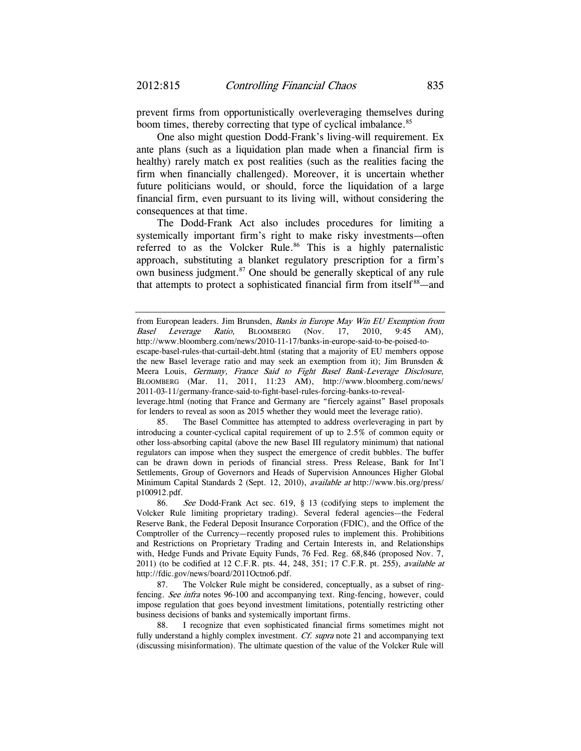prevent firms from opportunistically overleveraging themselves during boom times, thereby correcting that type of cyclical imbalance.<sup>85</sup>

One also might question Dodd-Frank's living-will requirement. Ex ante plans (such as a liquidation plan made when a financial firm is healthy) rarely match ex post realities (such as the realities facing the firm when financially challenged). Moreover, it is uncertain whether future politicians would, or should, force the liquidation of a large financial firm, even pursuant to its living will, without considering the consequences at that time.

The Dodd-Frank Act also includes procedures for limiting a systemically important firm's right to make risky investments—often referred to as the Volcker Rule.<sup>86</sup> This is a highly paternalistic approach, substituting a blanket regulatory prescription for a firm's own business judgment.<sup>87</sup> One should be generally skeptical of any rule that attempts to protect a sophisticated financial firm from itself<sup>88</sup>—and

leverage.html (noting that France and Germany are "fiercely against" Basel proposals for lenders to reveal as soon as 2015 whether they would meet the leverage ratio).

 85. The Basel Committee has attempted to address overleveraging in part by introducing a counter-cyclical capital requirement of up to 2.5% of common equity or other loss-absorbing capital (above the new Basel III regulatory minimum) that national regulators can impose when they suspect the emergence of credit bubbles. The buffer can be drawn down in periods of financial stress. Press Release, Bank for Int'l Settlements, Group of Governors and Heads of Supervision Announces Higher Global Minimum Capital Standards 2 (Sept. 12, 2010), available at http://www.bis.org/press/ p100912.pdf.

86. See Dodd-Frank Act sec. 619, § 13 (codifying steps to implement the Volcker Rule limiting proprietary trading). Several federal agencies—the Federal Reserve Bank, the Federal Deposit Insurance Corporation (FDIC), and the Office of the Comptroller of the Currency—recently proposed rules to implement this. Prohibitions and Restrictions on Proprietary Trading and Certain Interests in, and Relationships with, Hedge Funds and Private Equity Funds, 76 Fed. Reg. 68,846 (proposed Nov. 7, 2011) (to be codified at 12 C.F.R. pts. 44, 248, 351; 17 C.F.R. pt. 255), *available at* http://fdic.gov/news/board/2011Octno6.pdf.

 87. The Volcker Rule might be considered, conceptually, as a subset of ringfencing. See infra notes 96-100 and accompanying text. Ring-fencing, however, could impose regulation that goes beyond investment limitations, potentially restricting other business decisions of banks and systemically important firms.

 88. I recognize that even sophisticated financial firms sometimes might not fully understand a highly complex investment. Cf. supra note 21 and accompanying text (discussing misinformation). The ultimate question of the value of the Volcker Rule will

from European leaders. Jim Brunsden, Banks in Europe May Win EU Exemption from Basel Leverage Ratio, BLOOMBERG (Nov. 17, 2010, 9:45 AM), http://www.bloomberg.com/news/2010-11-17/banks-in-europe-said-to-be-poised-to-

escape-basel-rules-that-curtail-debt.html (stating that a majority of EU members oppose the new Basel leverage ratio and may seek an exemption from it); Jim Brunsden & Meera Louis, Germany, France Said to Fight Basel Bank-Leverage Disclosure, BLOOMBERG (Mar. 11, 2011, 11:23 AM), http://www.bloomberg.com/news/ 2011-03-11/germany-france-said-to-fight-basel-rules-forcing-banks-to-reveal-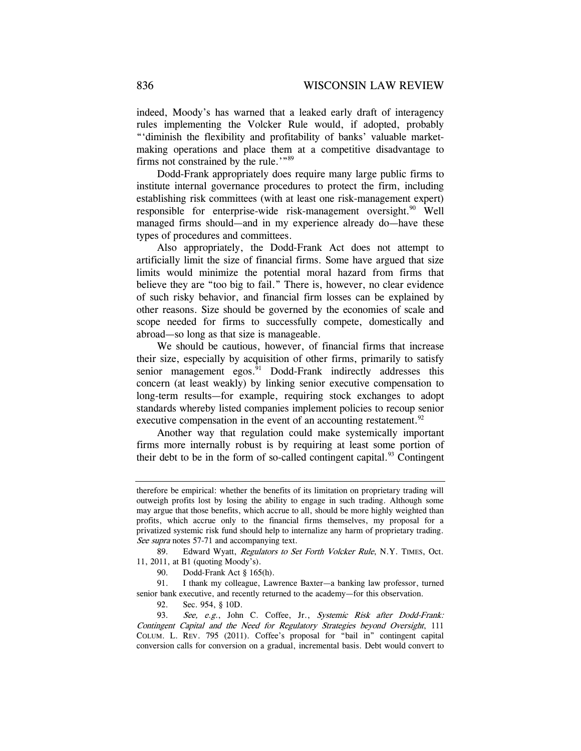indeed, Moody's has warned that a leaked early draft of interagency rules implementing the Volcker Rule would, if adopted, probably "'diminish the flexibility and profitability of banks' valuable marketmaking operations and place them at a competitive disadvantage to firms not constrained by the rule.'"89

Dodd-Frank appropriately does require many large public firms to institute internal governance procedures to protect the firm, including establishing risk committees (with at least one risk-management expert) responsible for enterprise-wide risk-management oversight.<sup>90</sup> Well managed firms should—and in my experience already do—have these types of procedures and committees.

Also appropriately, the Dodd-Frank Act does not attempt to artificially limit the size of financial firms. Some have argued that size limits would minimize the potential moral hazard from firms that believe they are "too big to fail." There is, however, no clear evidence of such risky behavior, and financial firm losses can be explained by other reasons. Size should be governed by the economies of scale and scope needed for firms to successfully compete, domestically and abroad—so long as that size is manageable.

We should be cautious, however, of financial firms that increase their size, especially by acquisition of other firms, primarily to satisfy senior management egos. $91$  Dodd-Frank indirectly addresses this concern (at least weakly) by linking senior executive compensation to long-term results—for example, requiring stock exchanges to adopt standards whereby listed companies implement policies to recoup senior executive compensation in the event of an accounting restatement.  $92$ 

Another way that regulation could make systemically important firms more internally robust is by requiring at least some portion of their debt to be in the form of so-called contingent capital.<sup>93</sup> Contingent

89. Edward Wyatt, Regulators to Set Forth Volcker Rule, N.Y. TIMES, Oct. 11, 2011, at B1 (quoting Moody's).

90. Dodd-Frank Act § 165(h).

 91. I thank my colleague, Lawrence Baxter—a banking law professor, turned senior bank executive, and recently returned to the academy—for this observation.

92. Sec. 954, § 10D.

93. See, e.g., John C. Coffee, Jr., Systemic Risk after Dodd-Frank: Contingent Capital and the Need for Regulatory Strategies beyond Oversight, 111 COLUM. L. REV. 795 (2011). Coffee's proposal for "bail in" contingent capital conversion calls for conversion on a gradual, incremental basis. Debt would convert to

therefore be empirical: whether the benefits of its limitation on proprietary trading will outweigh profits lost by losing the ability to engage in such trading. Although some may argue that those benefits, which accrue to all, should be more highly weighted than profits, which accrue only to the financial firms themselves, my proposal for a privatized systemic risk fund should help to internalize any harm of proprietary trading. See supra notes 57-71 and accompanying text.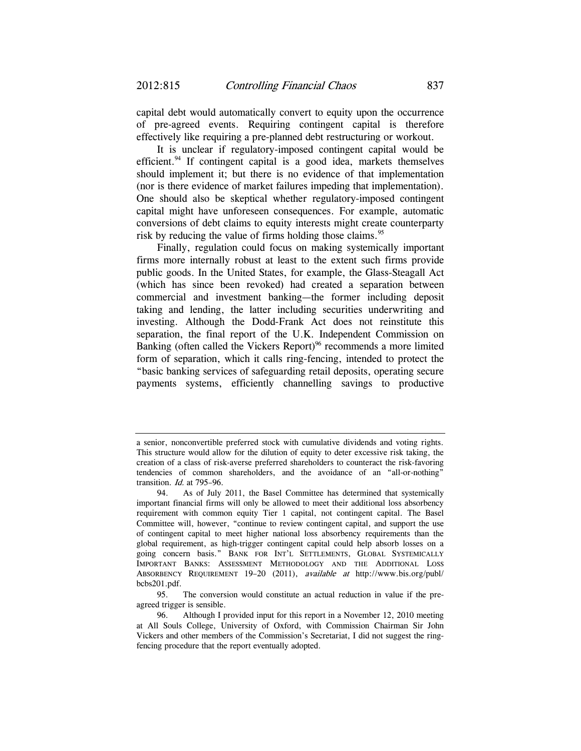capital debt would automatically convert to equity upon the occurrence of pre-agreed events. Requiring contingent capital is therefore effectively like requiring a pre-planned debt restructuring or workout.

It is unclear if regulatory-imposed contingent capital would be efficient.<sup>94</sup> If contingent capital is a good idea, markets themselves should implement it; but there is no evidence of that implementation (nor is there evidence of market failures impeding that implementation). One should also be skeptical whether regulatory-imposed contingent capital might have unforeseen consequences. For example, automatic conversions of debt claims to equity interests might create counterparty risk by reducing the value of firms holding those claims.<sup>95</sup>

Finally, regulation could focus on making systemically important firms more internally robust at least to the extent such firms provide public goods. In the United States, for example, the Glass-Steagall Act (which has since been revoked) had created a separation between commercial and investment banking—the former including deposit taking and lending, the latter including securities underwriting and investing. Although the Dodd-Frank Act does not reinstitute this separation, the final report of the U.K. Independent Commission on Banking (often called the Vickers Report)<sup>96</sup> recommends a more limited form of separation, which it calls ring-fencing, intended to protect the "basic banking services of safeguarding retail deposits, operating secure payments systems, efficiently channelling savings to productive

 95. The conversion would constitute an actual reduction in value if the preagreed trigger is sensible.

a senior, nonconvertible preferred stock with cumulative dividends and voting rights. This structure would allow for the dilution of equity to deter excessive risk taking, the creation of a class of risk-averse preferred shareholders to counteract the risk-favoring tendencies of common shareholders, and the avoidance of an "all-or-nothing" transition. Id. at 795–96.

 <sup>94.</sup> As of July 2011, the Basel Committee has determined that systemically important financial firms will only be allowed to meet their additional loss absorbency requirement with common equity Tier 1 capital, not contingent capital. The Basel Committee will, however, "continue to review contingent capital, and support the use of contingent capital to meet higher national loss absorbency requirements than the global requirement, as high-trigger contingent capital could help absorb losses on a going concern basis." BANK FOR INT'L SETTLEMENTS, GLOBAL SYSTEMICALLY IMPORTANT BANKS: ASSESSMENT METHODOLOGY AND THE ADDITIONAL LOSS ABSORBENCY REQUIREMENT 19–20 (2011), available at http://www.bis.org/publ/ bcbs201.pdf.

 <sup>96.</sup> Although I provided input for this report in a November 12, 2010 meeting at All Souls College, University of Oxford, with Commission Chairman Sir John Vickers and other members of the Commission's Secretariat, I did not suggest the ringfencing procedure that the report eventually adopted.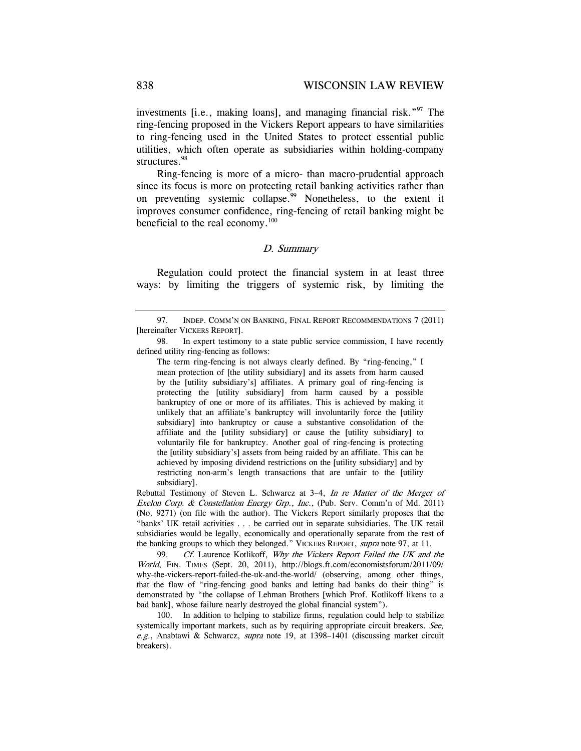investments [i.e., making loans], and managing financial risk.<sup>"97</sup> The ring-fencing proposed in the Vickers Report appears to have similarities to ring-fencing used in the United States to protect essential public utilities, which often operate as subsidiaries within holding-company structures.<sup>98</sup>

Ring-fencing is more of a micro- than macro-prudential approach since its focus is more on protecting retail banking activities rather than on preventing systemic collapse.<sup>99</sup> Nonetheless, to the extent it improves consumer confidence, ring-fencing of retail banking might be beneficial to the real economy. $100$ 

### D. Summary

Regulation could protect the financial system in at least three ways: by limiting the triggers of systemic risk, by limiting the

The term ring-fencing is not always clearly defined. By "ring-fencing," I mean protection of [the utility subsidiary] and its assets from harm caused by the [utility subsidiary's] affiliates. A primary goal of ring-fencing is protecting the [utility subsidiary] from harm caused by a possible bankruptcy of one or more of its affiliates. This is achieved by making it unlikely that an affiliate's bankruptcy will involuntarily force the [utility subsidiary] into bankruptcy or cause a substantive consolidation of the affiliate and the [utility subsidiary] or cause the [utility subsidiary] to voluntarily file for bankruptcy. Another goal of ring-fencing is protecting the [utility subsidiary's] assets from being raided by an affiliate. This can be achieved by imposing dividend restrictions on the [utility subsidiary] and by restricting non-arm's length transactions that are unfair to the [utility subsidiary].

Rebuttal Testimony of Steven L. Schwarcz at 3–4, In re Matter of the Merger of Exelon Corp. & Constellation Energy Grp., Inc., (Pub. Serv. Comm'n of Md. 2011) (No. 9271) (on file with the author). The Vickers Report similarly proposes that the "banks' UK retail activities . . . be carried out in separate subsidiaries. The UK retail subsidiaries would be legally, economically and operationally separate from the rest of the banking groups to which they belonged." VICKERS REPORT, supra note 97, at 11.

99. Cf. Laurence Kotlikoff, Why the Vickers Report Failed the UK and the World, FIN. TIMES (Sept. 20, 2011), http://blogs.ft.com/economistsforum/2011/09/ why-the-vickers-report-failed-the-uk-and-the-world/ (observing, among other things, that the flaw of "ring-fencing good banks and letting bad banks do their thing" is demonstrated by "the collapse of Lehman Brothers [which Prof. Kotlikoff likens to a bad bank], whose failure nearly destroyed the global financial system").

 100. In addition to helping to stabilize firms, regulation could help to stabilize systemically important markets, such as by requiring appropriate circuit breakers. See, e.g., Anabtawi & Schwarcz, supra note 19, at 1398-1401 (discussing market circuit breakers).

 <sup>97.</sup> INDEP. COMM'N ON BANKING, FINAL REPORT RECOMMENDATIONS 7 (2011) [hereinafter VICKERS REPORT].

 <sup>98.</sup> In expert testimony to a state public service commission, I have recently defined utility ring-fencing as follows: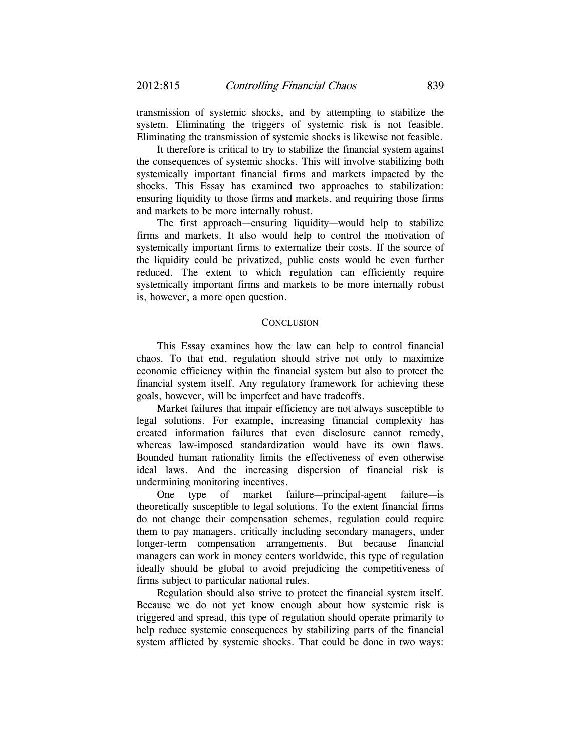transmission of systemic shocks, and by attempting to stabilize the system. Eliminating the triggers of systemic risk is not feasible. Eliminating the transmission of systemic shocks is likewise not feasible.

It therefore is critical to try to stabilize the financial system against the consequences of systemic shocks. This will involve stabilizing both systemically important financial firms and markets impacted by the shocks. This Essay has examined two approaches to stabilization: ensuring liquidity to those firms and markets, and requiring those firms and markets to be more internally robust.

The first approach—ensuring liquidity—would help to stabilize firms and markets. It also would help to control the motivation of systemically important firms to externalize their costs. If the source of the liquidity could be privatized, public costs would be even further reduced. The extent to which regulation can efficiently require systemically important firms and markets to be more internally robust is, however, a more open question.

### **CONCLUSION**

This Essay examines how the law can help to control financial chaos. To that end, regulation should strive not only to maximize economic efficiency within the financial system but also to protect the financial system itself. Any regulatory framework for achieving these goals, however, will be imperfect and have tradeoffs.

Market failures that impair efficiency are not always susceptible to legal solutions. For example, increasing financial complexity has created information failures that even disclosure cannot remedy, whereas law-imposed standardization would have its own flaws. Bounded human rationality limits the effectiveness of even otherwise ideal laws. And the increasing dispersion of financial risk is undermining monitoring incentives.

One type of market failure—principal-agent failure—is theoretically susceptible to legal solutions. To the extent financial firms do not change their compensation schemes, regulation could require them to pay managers, critically including secondary managers, under longer-term compensation arrangements. But because financial managers can work in money centers worldwide, this type of regulation ideally should be global to avoid prejudicing the competitiveness of firms subject to particular national rules.

Regulation should also strive to protect the financial system itself. Because we do not yet know enough about how systemic risk is triggered and spread, this type of regulation should operate primarily to help reduce systemic consequences by stabilizing parts of the financial system afflicted by systemic shocks. That could be done in two ways: